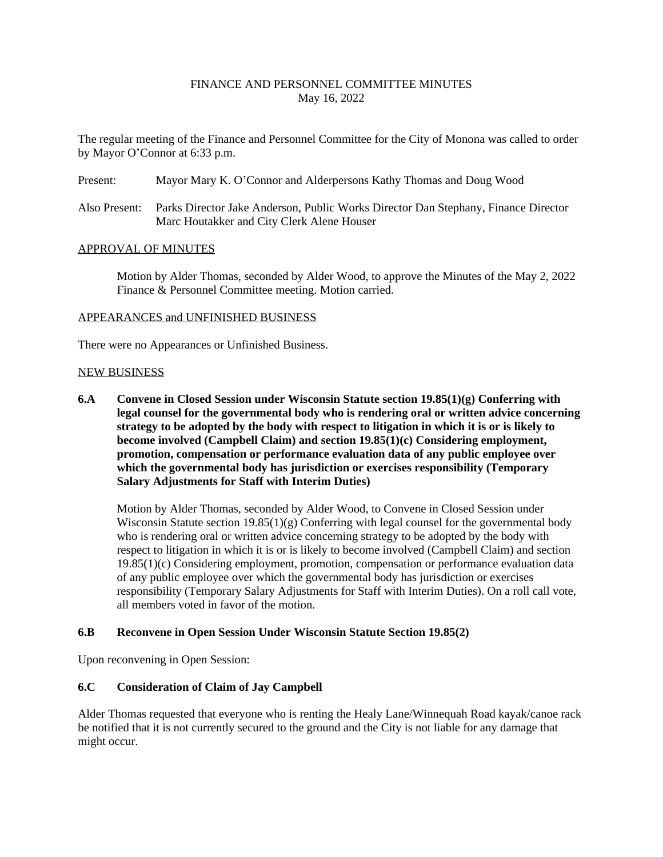# FINANCE AND PERSONNEL COMMITTEE MINUTES May 16, 2022

The regular meeting of the Finance and Personnel Committee for the City of Monona was called to order by Mayor O'Connor at 6:33 p.m.

- Present: Mayor Mary K. O'Connor and Alderpersons Kathy Thomas and Doug Wood
- Also Present: Parks Director Jake Anderson, Public Works Director Dan Stephany, Finance Director Marc Houtakker and City Clerk Alene Houser

### APPROVAL OF MINUTES

Motion by Alder Thomas, seconded by Alder Wood, to approve the Minutes of the May 2, 2022 Finance & Personnel Committee meeting. Motion carried.

### APPEARANCES and UNFINISHED BUSINESS

There were no Appearances or Unfinished Business.

### NEW BUSINESS

**6.A Convene in Closed Session under Wisconsin Statute section 19.85(1)(g) Conferring with legal counsel for the governmental body who is rendering oral or written advice concerning strategy to be adopted by the body with respect to litigation in which it is or is likely to become involved (Campbell Claim) and section 19.85(1)(c) Considering employment, promotion, compensation or performance evaluation data of any public employee over which the governmental body has jurisdiction or exercises responsibility (Temporary Salary Adjustments for Staff with Interim Duties)**

Motion by Alder Thomas, seconded by Alder Wood, to Convene in Closed Session under Wisconsin Statute section  $19.85(1)(g)$  Conferring with legal counsel for the governmental body who is rendering oral or written advice concerning strategy to be adopted by the body with respect to litigation in which it is or is likely to become involved (Campbell Claim) and section 19.85(1)(c) Considering employment, promotion, compensation or performance evaluation data of any public employee over which the governmental body has jurisdiction or exercises responsibility (Temporary Salary Adjustments for Staff with Interim Duties). On a roll call vote, all members voted in favor of the motion.

## **6.B Reconvene in Open Session Under Wisconsin Statute Section 19.85(2)**

Upon reconvening in Open Session:

## **6.C Consideration of Claim of Jay Campbell**

Alder Thomas requested that everyone who is renting the Healy Lane/Winnequah Road kayak/canoe rack be notified that it is not currently secured to the ground and the City is not liable for any damage that might occur.